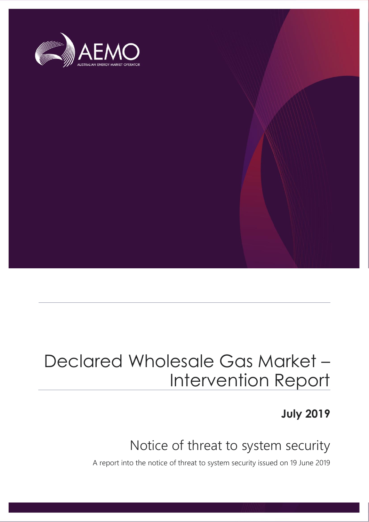

# Declared Wholesale Gas Market – Intervention Report

**July 2019**

### Notice of threat to system security

A report into the notice of threat to system security issued on 19 June 2019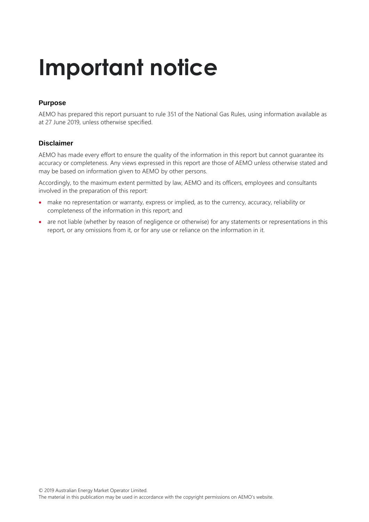# **Important notice**

#### **Purpose**

AEMO has prepared this report pursuant to rule 351 of the National Gas Rules, using information available as at 27 June 2019, unless otherwise specified.

#### **Disclaimer**

AEMO has made every effort to ensure the quality of the information in this report but cannot guarantee its accuracy or completeness. Any views expressed in this report are those of AEMO unless otherwise stated and may be based on information given to AEMO by other persons.

Accordingly, to the maximum extent permitted by law, AEMO and its officers, employees and consultants involved in the preparation of this report:

- make no representation or warranty, express or implied, as to the currency, accuracy, reliability or completeness of the information in this report; and
- are not liable (whether by reason of negligence or otherwise) for any statements or representations in this report, or any omissions from it, or for any use or reliance on the information in it.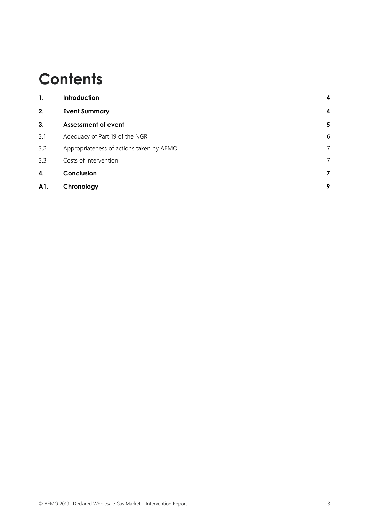## **Contents**

| 1.  | Introduction                             | 4 |
|-----|------------------------------------------|---|
| 2.  | <b>Event Summary</b>                     | 4 |
| 3.  | <b>Assessment of event</b>               | 5 |
| 3.1 | Adequacy of Part 19 of the NGR           | 6 |
| 3.2 | Appropriateness of actions taken by AEMO | 7 |
| 3.3 | Costs of intervention                    |   |
| 4.  | Conclusion                               | 7 |
| A1. | Chronology                               | 9 |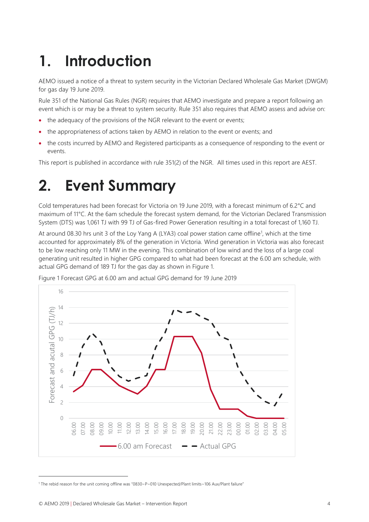# <span id="page-3-0"></span>**1. Introduction**

AEMO issued a notice of a threat to system security in the Victorian Declared Wholesale Gas Market (DWGM) for gas day 19 June 2019.

Rule 351 of the National Gas Rules (NGR) requires that AEMO investigate and prepare a report following an event which is or may be a threat to system security. Rule 351 also requires that AEMO assess and advise on:

- the adequacy of the provisions of the NGR relevant to the event or events;
- the appropriateness of actions taken by AEMO in relation to the event or events; and
- the costs incurred by AEMO and Registered participants as a consequence of responding to the event or events.

<span id="page-3-1"></span>This report is published in accordance with rule 351(2) of the NGR. All times used in this report are AEST.

### **2. Event Summary**

Cold temperatures had been forecast for Victoria on 19 June 2019, with a forecast minimum of 6.2°C and maximum of 11°C. At the 6am schedule the forecast system demand, for the Victorian Declared Transmission System (DTS) was 1,061 TJ with 99 TJ of Gas-fired Power Generation resulting in a total forecast of 1,160 TJ.

At around 08.30 hrs unit 3 of the Loy Yang A (LYA3) coal power station came offline<sup>1</sup>, which at the time accounted for approximately 8% of the generation in Victoria. Wind generation in Victoria was also forecast to be low reaching only 11 MW in the evening. This combination of low wind and the loss of a large coal generating unit resulted in higher GPG compared to what had been forecast at the 6.00 am schedule, with actual GPG demand of 189 TJ for the gas day as shown in Figure 1.



Figure 1 Forecast GPG at 6.00 am and actual GPG demand for 19 June 2019

 $\overline{a}$ 

<sup>1</sup> The rebid reason for the unit coming offline was "0830~P~010 Unexpected/Plant limits~106 Aux/Plant failure"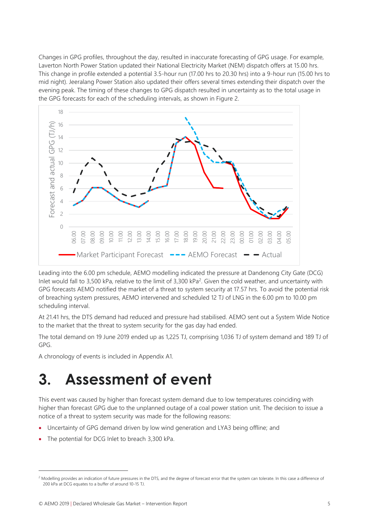Changes in GPG profiles, throughout the day, resulted in inaccurate forecasting of GPG usage. For example, Laverton North Power Station updated their National Electricity Market (NEM) dispatch offers at 15.00 hrs. This change in profile extended a potential 3.5-hour run (17.00 hrs to 20.30 hrs) into a 9-hour run (15.00 hrs to mid night). Jeeralang Power Station also updated their offers several times extending their dispatch over the evening peak. The timing of these changes to GPG dispatch resulted in uncertainty as to the total usage in the GPG forecasts for each of the scheduling intervals, as shown in Figure 2.



Leading into the 6.00 pm schedule, AEMO modelling indicated the pressure at Dandenong City Gate (DCG) Inlet would fall to 3,500 kPa, relative to the limit of 3,300 kPa<sup>2</sup>. Given the cold weather, and uncertainty with GPG forecasts AEMO notified the market of a threat to system security at 17.57 hrs. To avoid the potential risk of breaching system pressures, AEMO intervened and scheduled 12 TJ of LNG in the 6.00 pm to 10.00 pm scheduling interval.

At 21.41 hrs, the DTS demand had reduced and pressure had stabilised. AEMO sent out a System Wide Notice to the market that the threat to system security for the gas day had ended.

The total demand on 19 June 2019 ended up as 1,225 TJ, comprising 1,036 TJ of system demand and 189 TJ of GPG.

<span id="page-4-0"></span>A chronology of events is included in Appendix A1.

### **3. Assessment of event**

This event was caused by higher than forecast system demand due to low temperatures coinciding with higher than forecast GPG due to the unplanned outage of a coal power station unit. The decision to issue a notice of a threat to system security was made for the following reasons:

- Uncertainty of GPG demand driven by low wind generation and LYA3 being offline; and
- The potential for DCG Inlet to breach 3,300 kPa.

 $\overline{a}$ 

<sup>&</sup>lt;sup>2</sup> Modelling provides an indication of future pressures in the DTS, and the degree of forecast error that the system can tolerate. In this case a difference of 200 kPa at DCG equates to a buffer of around 10-15 TJ.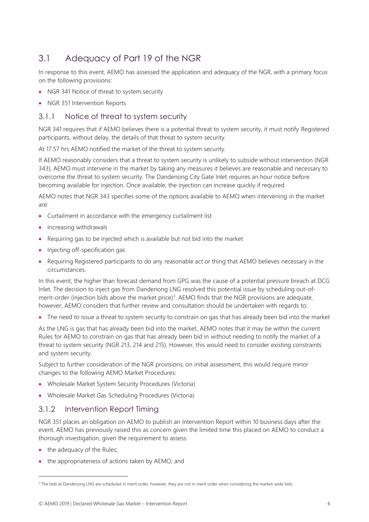### <span id="page-5-0"></span>3.1 Adequacy of Part 19 of the NGR

In response to this event, AEMO has assessed the application and adequacy of the NGR, with a primary focus on the following provisions:

- NGR 341 Notice of threat to system security
- NGR 351 Intervention Reports

#### 3.1.1 Notice of threat to system security

NGR 341 requires that if AEMO believes there is a potential threat to system security, it must notify Registered participants, without delay, the details of that threat to system security.

At 17.57 hrs AEMO notified the market of the threat to system security.

If AEMO reasonably considers that a threat to system security is unlikely to subside without intervention (NGR 343), AEMO must intervene in the market by taking any measures it believes are reasonable and necessary to overcome the threat to system security. The Dandenong City Gate Inlet requires an hour notice before becoming available for injection. Once available, the injection can increase quickly if required.

AEMO notes that NGR 343 specifies some of the options available to AEMO when intervening in the market are:

- Curtailment in accordance with the emergency curtailment list
- Increasing withdrawals
- Requiring gas to be injected which is available but not bid into the market
- Injecting off-specification gas
- Requiring Registered participants to do any reasonable act or thing that AEMO believes necessary in the circumstances.

In this event, the higher than forecast demand from GPG was the cause of a potential pressure breach at DCG Inlet. The decision to inject gas from Dandenong LNG resolved this potential issue by scheduling out-ofmerit-order (injection bids above the market price)<sup>3</sup>. AEMO finds that the NGR provisions are adequate, however, AEMO considers that further review and consultation should be undertaken with regards to:

• The need to issue a threat to system security to constrain on gas that has already been bid into the market

As the LNG is gas that has already been bid into the market, AEMO notes that it may be within the current Rules for AEMO to constrain on gas that has already been bid in without needing to notify the market of a threat to system security (NGR 213, 214 and 215). However, this would need to consider existing constraints and system security.

Subject to further consideration of the NGR provisions, on initial assessment, this would require minor changes to the following AEMO Market Procedures:

- Wholesale Market System Security Procedures (Victoria)
- Wholesale Market Gas Scheduling Procedures (Victoria)

#### 3.1.2 Intervention Report Timing

NGR 351 places an obligation on AEMO to publish an Intervention Report within 10 business days after the event. AEMO has previously raised this as concern given the limited time this placed on AEMO to conduct a thorough investigation, given the requirement to assess:

• the adequacy of the Rules;

 $\overline{a}$ 

• the appropriateness of actions taken by AEMO; and

<sup>&</sup>lt;sup>3</sup> The bids at Dandenong LNG are scheduled in merit order, however, they are not in merit order when considering the market-wide bids.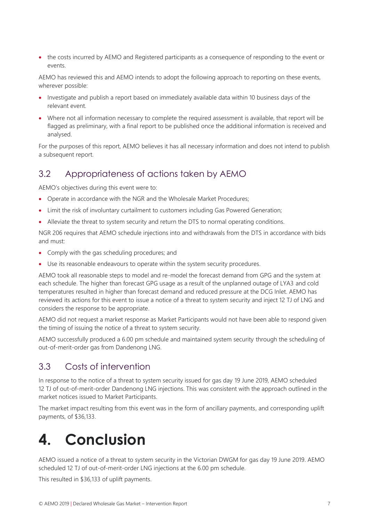• the costs incurred by AEMO and Registered participants as a consequence of responding to the event or events.

AEMO has reviewed this and AEMO intends to adopt the following approach to reporting on these events, wherever possible:

- Investigate and publish a report based on immediately available data within 10 business days of the relevant event.
- Where not all information necessary to complete the required assessment is available, that report will be flagged as preliminary, with a final report to be published once the additional information is received and analysed.

For the purposes of this report, AEMO believes it has all necessary information and does not intend to publish a subsequent report.

### <span id="page-6-0"></span>3.2 Appropriateness of actions taken by AEMO

AEMO's objectives during this event were to:

- Operate in accordance with the NGR and the Wholesale Market Procedures;
- Limit the risk of involuntary curtailment to customers including Gas Powered Generation;
- Alleviate the threat to system security and return the DTS to normal operating conditions.

NGR 206 requires that AEMO schedule injections into and withdrawals from the DTS in accordance with bids and must:

- Comply with the gas scheduling procedures; and
- Use its reasonable endeavours to operate within the system security procedures.

AEMO took all reasonable steps to model and re-model the forecast demand from GPG and the system at each schedule. The higher than forecast GPG usage as a result of the unplanned outage of LYA3 and cold temperatures resulted in higher than forecast demand and reduced pressure at the DCG Inlet. AEMO has reviewed its actions for this event to issue a notice of a threat to system security and inject 12 TJ of LNG and considers the response to be appropriate.

AEMO did not request a market response as Market Participants would not have been able to respond given the timing of issuing the notice of a threat to system security.

AEMO successfully produced a 6.00 pm schedule and maintained system security through the scheduling of out-of-merit-order gas from Dandenong LNG.

### <span id="page-6-1"></span>3.3 Costs of intervention

In response to the notice of a threat to system security issued for gas day 19 June 2019, AEMO scheduled 12 TJ of out-of-merit-order Dandenong LNG injections. This was consistent with the approach outlined in the market notices issued to Market Participants.

The market impact resulting from this event was in the form of ancillary payments, and corresponding uplift payments, of \$36,133.

### <span id="page-6-2"></span>**4. Conclusion**

AEMO issued a notice of a threat to system security in the Victorian DWGM for gas day 19 June 2019. AEMO scheduled 12 TJ of out-of-merit-order LNG injections at the 6.00 pm schedule.

This resulted in \$36,133 of uplift payments.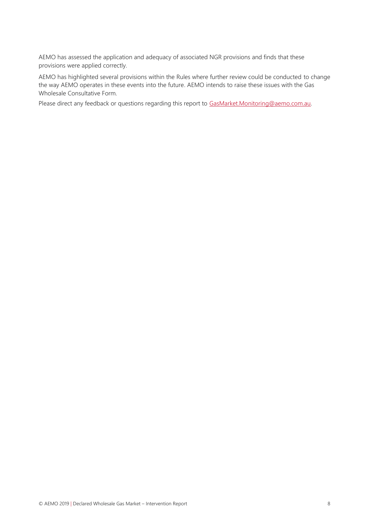AEMO has assessed the application and adequacy of associated NGR provisions and finds that these provisions were applied correctly.

AEMO has highlighted several provisions within the Rules where further review could be conducted to change the way AEMO operates in these events into the future. AEMO intends to raise these issues with the Gas Wholesale Consultative Form.

Please direct any feedback or questions regarding this report to [GasMarket.Monitoring@aemo.com.au.](mailto:GasMarket.Monitoring@aemo.com.au)